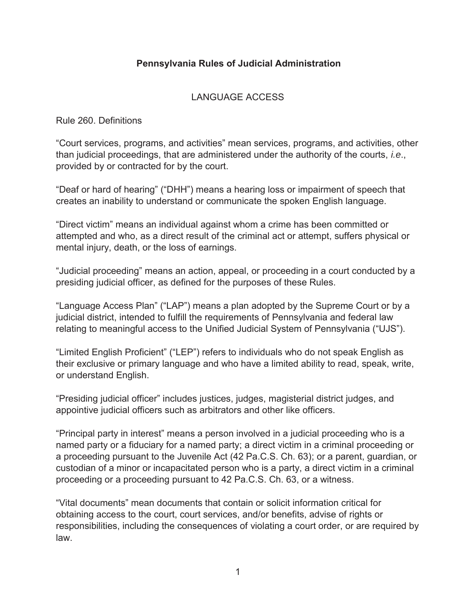# **Pennsylvania Rules of Judicial Administration**

## LANGUAGE ACCESS

Rule 260. Definitions

"Court services, programs, and activities" mean services, programs, and activities, other than judicial proceedings, that are administered under the authority of the courts, *i.e*., provided by or contracted for by the court.

"Deaf or hard of hearing" ("DHH") means a hearing loss or impairment of speech that creates an inability to understand or communicate the spoken English language.

"Direct victim" means an individual against whom a crime has been committed or attempted and who, as a direct result of the criminal act or attempt, suffers physical or mental injury, death, or the loss of earnings.

"Judicial proceeding" means an action, appeal, or proceeding in a court conducted by a presiding judicial officer, as defined for the purposes of these Rules.

"Language Access Plan" ("LAP") means a plan adopted by the Supreme Court or by a judicial district, intended to fulfill the requirements of Pennsylvania and federal law relating to meaningful access to the Unified Judicial System of Pennsylvania ("UJS").

"Limited English Proficient" ("LEP") refers to individuals who do not speak English as their exclusive or primary language and who have a limited ability to read, speak, write, or understand English.

"Presiding judicial officer" includes justices, judges, magisterial district judges, and appointive judicial officers such as arbitrators and other like officers.

"Principal party in interest" means a person involved in a judicial proceeding who is a named party or a fiduciary for a named party; a direct victim in a criminal proceeding or a proceeding pursuant to the Juvenile Act (42 Pa.C.S. Ch. 63); or a parent, guardian, or custodian of a minor or incapacitated person who is a party, a direct victim in a criminal proceeding or a proceeding pursuant to 42 Pa.C.S. Ch. 63, or a witness.

"Vital documents" mean documents that contain or solicit information critical for obtaining access to the court, court services, and/or benefits, advise of rights or responsibilities, including the consequences of violating a court order, or are required by law.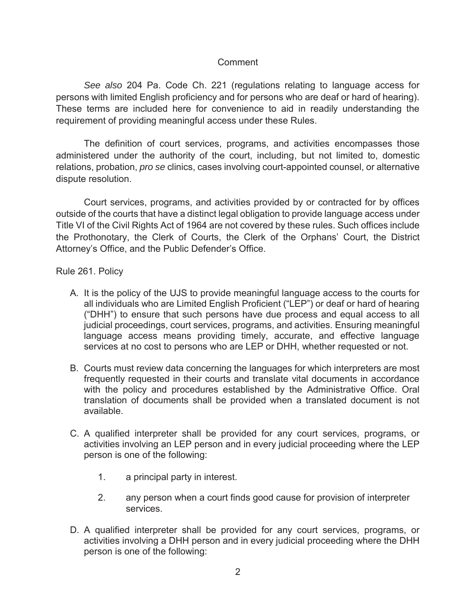## Comment

*See also* 204 Pa. Code Ch. 221 (regulations relating to language access for persons with limited English proficiency and for persons who are deaf or hard of hearing). These terms are included here for convenience to aid in readily understanding the requirement of providing meaningful access under these Rules.

The definition of court services, programs, and activities encompasses those administered under the authority of the court, including, but not limited to, domestic relations, probation, *pro se* clinics, cases involving court-appointed counsel, or alternative dispute resolution.

Court services, programs, and activities provided by or contracted for by offices outside of the courts that have a distinct legal obligation to provide language access under Title VI of the Civil Rights Act of 1964 are not covered by these rules. Such offices include the Prothonotary, the Clerk of Courts, the Clerk of the Orphans' Court, the District Attorney's Office, and the Public Defender's Office.

Rule 261. Policy

- A. It is the policy of the UJS to provide meaningful language access to the courts for all individuals who are Limited English Proficient ("LEP") or deaf or hard of hearing ("DHH") to ensure that such persons have due process and equal access to all judicial proceedings, court services, programs, and activities. Ensuring meaningful language access means providing timely, accurate, and effective language services at no cost to persons who are LEP or DHH, whether requested or not.
- B. Courts must review data concerning the languages for which interpreters are most frequently requested in their courts and translate vital documents in accordance with the policy and procedures established by the Administrative Office. Oral translation of documents shall be provided when a translated document is not available.
- C. A qualified interpreter shall be provided for any court services, programs, or activities involving an LEP person and in every judicial proceeding where the LEP person is one of the following:
	- 1. a principal party in interest.
	- 2. any person when a court finds good cause for provision of interpreter services.
- D. A qualified interpreter shall be provided for any court services, programs, or activities involving a DHH person and in every judicial proceeding where the DHH person is one of the following: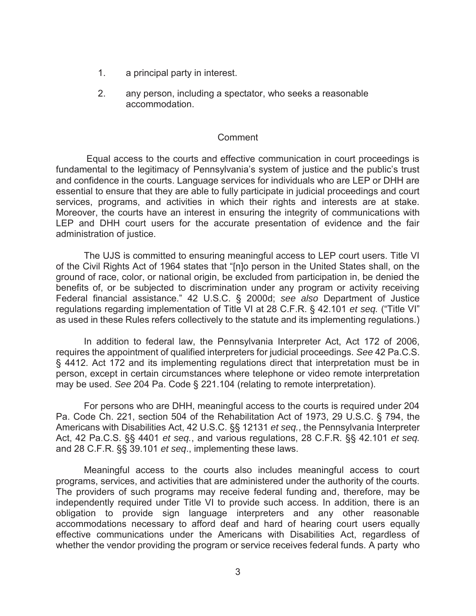- 1. a principal party in interest.
- 2. any person, including a spectator, who seeks a reasonable accommodation.

#### Comment

Equal access to the courts and effective communication in court proceedings is fundamental to the legitimacy of Pennsylvania's system of justice and the public's trust and confidence in the courts. Language services for individuals who are LEP or DHH are essential to ensure that they are able to fully participate in judicial proceedings and court services, programs, and activities in which their rights and interests are at stake. Moreover, the courts have an interest in ensuring the integrity of communications with LEP and DHH court users for the accurate presentation of evidence and the fair administration of justice.

The UJS is committed to ensuring meaningful access to LEP court users. Title VI of the Civil Rights Act of 1964 states that "[n]o person in the United States shall, on the ground of race, color, or national origin, be excluded from participation in, be denied the benefits of, or be subjected to discrimination under any program or activity receiving Federal financial assistance." 42 U.S.C. § 2000d; *see also* Department of Justice regulations regarding implementation of Title VI at 28 C.F.R. § 42.101 *et seq.* ("Title VI" as used in these Rules refers collectively to the statute and its implementing regulations.)

In addition to federal law, the Pennsylvania Interpreter Act, Act 172 of 2006, requires the appointment of qualified interpreters for judicial proceedings. *See* 42 Pa.C.S. § 4412. Act 172 and its implementing regulations direct that interpretation must be in person, except in certain circumstances where telephone or video remote interpretation may be used. *See* 204 Pa. Code § 221.104 (relating to remote interpretation).

For persons who are DHH, meaningful access to the courts is required under 204 Pa. Code Ch. 221, section 504 of the Rehabilitation Act of 1973, 29 U.S.C. § 794, the Americans with Disabilities Act, 42 U.S.C. §§ 12131 *et seq.*, the Pennsylvania Interpreter Act, 42 Pa.C.S. §§ 4401 *et seq.*, and various regulations, 28 C.F.R. §§ 42.101 *et seq.* and 28 C.F.R. §§ 39.101 *et seq*., implementing these laws.

Meaningful access to the courts also includes meaningful access to court programs, services, and activities that are administered under the authority of the courts. The providers of such programs may receive federal funding and, therefore, may be independently required under Title VI to provide such access. In addition, there is an obligation to provide sign language interpreters and any other reasonable accommodations necessary to afford deaf and hard of hearing court users equally effective communications under the Americans with Disabilities Act, regardless of whether the vendor providing the program or service receives federal funds. A party who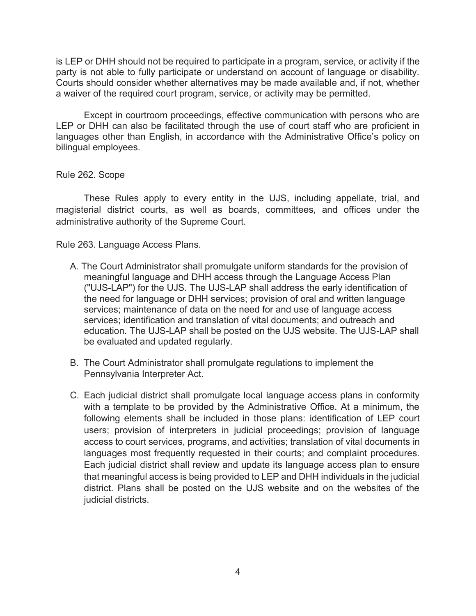is LEP or DHH should not be required to participate in a program, service, or activity if the party is not able to fully participate or understand on account of language or disability. Courts should consider whether alternatives may be made available and, if not, whether a waiver of the required court program, service, or activity may be permitted.

Except in courtroom proceedings, effective communication with persons who are LEP or DHH can also be facilitated through the use of court staff who are proficient in languages other than English, in accordance with the Administrative Office's policy on bilingual employees.

### Rule 262. Scope

These Rules apply to every entity in the UJS, including appellate, trial, and magisterial district courts, as well as boards, committees, and offices under the administrative authority of the Supreme Court.

Rule 263. Language Access Plans.

- A. The Court Administrator shall promulgate uniform standards for the provision of meaningful language and DHH access through the Language Access Plan ("UJS-LAP") for the UJS. The UJS-LAP shall address the early identification of the need for language or DHH services; provision of oral and written language services; maintenance of data on the need for and use of language access services; identification and translation of vital documents; and outreach and education. The UJS-LAP shall be posted on the UJS website. The UJS-LAP shall be evaluated and updated regularly.
- B. The Court Administrator shall promulgate regulations to implement the Pennsylvania Interpreter Act.
- C. Each judicial district shall promulgate local language access plans in conformity with a template to be provided by the Administrative Office. At a minimum, the following elements shall be included in those plans: identification of LEP court users; provision of interpreters in judicial proceedings; provision of language access to court services, programs, and activities; translation of vital documents in languages most frequently requested in their courts; and complaint procedures. Each judicial district shall review and update its language access plan to ensure that meaningful access is being provided to LEP and DHH individuals in the judicial district. Plans shall be posted on the UJS website and on the websites of the judicial districts.